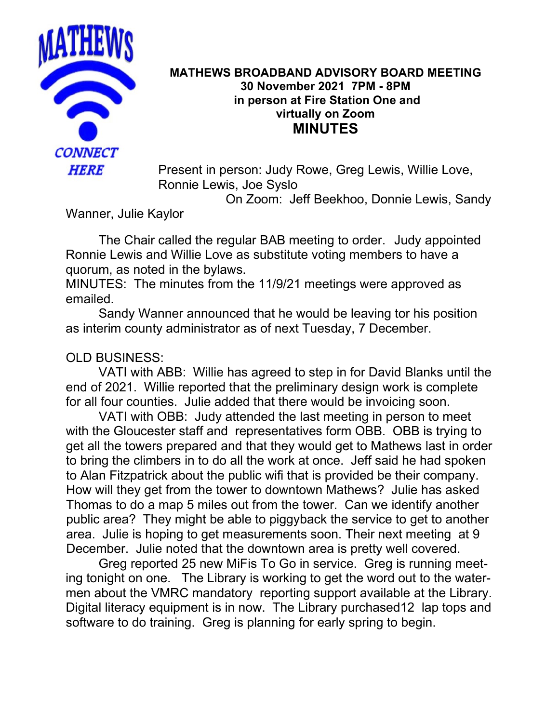

## **MATHEWS BROADBAND ADVISORY BOARD MEETING 30 November 2021 7PM - 8PM in person at Fire Station One and virtually on Zoom MINUTES**

Present in person: Judy Rowe, Greg Lewis, Willie Love, Ronnie Lewis, Joe Syslo

On Zoom: Jeff Beekhoo, Donnie Lewis, Sandy

Wanner, Julie Kaylor

The Chair called the regular BAB meeting to order. Judy appointed Ronnie Lewis and Willie Love as substitute voting members to have a quorum, as noted in the bylaws.

MINUTES: The minutes from the 11/9/21 meetings were approved as emailed.

Sandy Wanner announced that he would be leaving tor his position as interim county administrator as of next Tuesday, 7 December.

## OLD BUSINESS:

VATI with ABB: Willie has agreed to step in for David Blanks until the end of 2021. Willie reported that the preliminary design work is complete for all four counties. Julie added that there would be invoicing soon.

VATI with OBB: Judy attended the last meeting in person to meet with the Gloucester staff and representatives form OBB. OBB is trying to get all the towers prepared and that they would get to Mathews last in order to bring the climbers in to do all the work at once. Jeff said he had spoken to Alan Fitzpatrick about the public wifi that is provided be their company. How will they get from the tower to downtown Mathews? Julie has asked Thomas to do a map 5 miles out from the tower. Can we identify another public area? They might be able to piggyback the service to get to another area. Julie is hoping to get measurements soon. Their next meeting at 9 December. Julie noted that the downtown area is pretty well covered.

Greg reported 25 new MiFis To Go in service. Greg is running meeting tonight on one. The Library is working to get the word out to the watermen about the VMRC mandatory reporting support available at the Library. Digital literacy equipment is in now. The Library purchased12 lap tops and software to do training. Greg is planning for early spring to begin.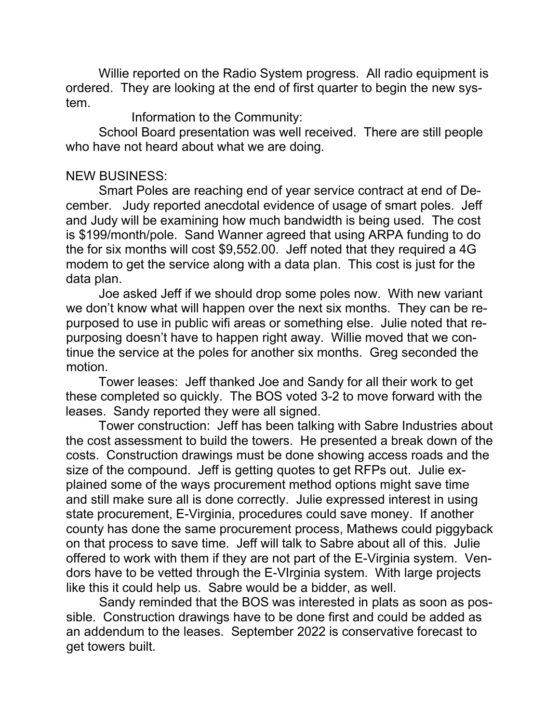Willie reported on the Radio System progress. All radio equipment is ordered. They are looking at the end of first quarter to begin the new system.

Information to the Community:

School Board presentation was well received. There are still people who have not heard about what we are doing.

## NEW BUSINESS:

Smart Poles are reaching end of year service contract at end of December. Judy reported anecdotal evidence of usage of smart poles. Jeff and Judy will be examining how much bandwidth is being used. The cost is \$199/month/pole. Sand Wanner agreed that using ARPA funding to do the for six months will cost \$9,552.00. Jeff noted that they required a 4G modem to get the service along with a data plan. This cost is just for the data plan.

Joe asked Jeff if we should drop some poles now. With new variant we don't know what will happen over the next six months. They can be repurposed to use in public wifi areas or something else. Julie noted that repurposing doesn't have to happen right away. Willie moved that we continue the service at the poles for another six months. Greg seconded the motion.

Tower leases: Jeff thanked Joe and Sandy for all their work to get these completed so quickly. The BOS voted 3-2 to move forward with the leases. Sandy reported they were all signed.

Tower construction: Jeff has been talking with Sabre Industries about the cost assessment to build the towers. He presented a break down of the costs. Construction drawings must be done showing access roads and the size of the compound. Jeff is getting quotes to get RFPs out. Julie explained some of the ways procurement method options might save time and still make sure all is done correctly. Julie expressed interest in using state procurement, E-Virginia, procedures could save money. If another county has done the same procurement process, Mathews could piggyback on that process to save time. Jeff will talk to Sabre about all of this. Julie offered to work with them if they are not part of the E-Virginia system. Vendors have to be vetted through the E-VIrginia system. With large projects like this it could help us. Sabre would be a bidder, as well.

Sandy reminded that the BOS was interested in plats as soon as possible. Construction drawings have to be done first and could be added as an addendum to the leases. September 2022 is conservative forecast to get towers built.